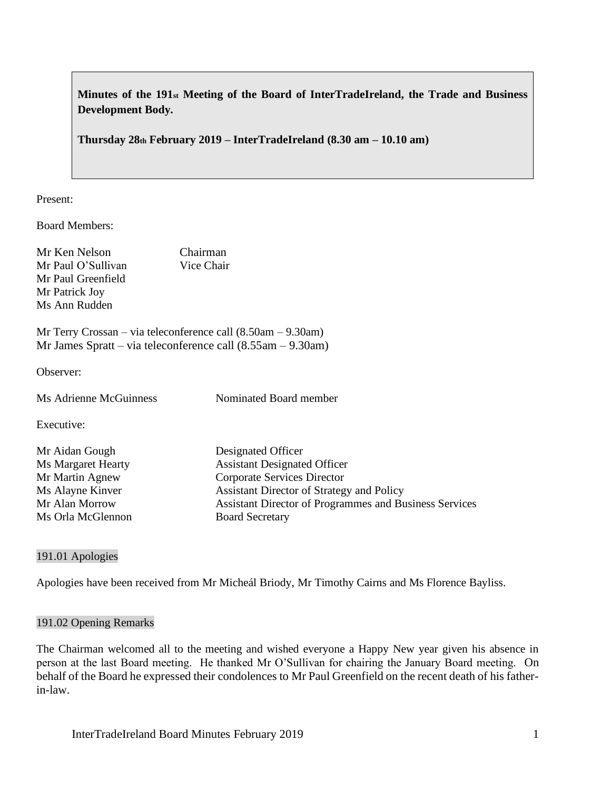**Minutes of the 191st Meeting of the Board of InterTradeIreland, the Trade and Business Development Body.**

**Thursday 28th February 2019 – InterTradeIreland (8.30 am – 10.10 am)**

Present:

Board Members:

| Mr Ken Nelson      | Chairman   |
|--------------------|------------|
| Mr Paul O'Sullivan | Vice Chair |
| Mr Paul Greenfield |            |
| Mr Patrick Joy     |            |
| Ms Ann Rudden      |            |

Mr Terry Crossan – via teleconference call (8.50am – 9.30am) Mr James Spratt – via teleconference call (8.55am – 9.30am)

Observer:

| Ms Adrienne McGuinness | Nominated Board member |
|------------------------|------------------------|
|                        |                        |

Executive:

| Mr Aidan Gough     | Designated Officer                                     |
|--------------------|--------------------------------------------------------|
| Ms Margaret Hearty | <b>Assistant Designated Officer</b>                    |
| Mr Martin Agnew    | Corporate Services Director                            |
| Ms Alayne Kinver   | Assistant Director of Strategy and Policy              |
| Mr Alan Morrow     | Assistant Director of Programmes and Business Services |
| Ms Orla McGlennon  | <b>Board Secretary</b>                                 |

#### 191.01 Apologies

Apologies have been received from Mr Micheál Briody, Mr Timothy Cairns and Ms Florence Bayliss.

#### 191.02 Opening Remarks

The Chairman welcomed all to the meeting and wished everyone a Happy New year given his absence in person at the last Board meeting. He thanked Mr O'Sullivan for chairing the January Board meeting. On behalf of the Board he expressed their condolences to Mr Paul Greenfield on the recent death of his fatherin-law.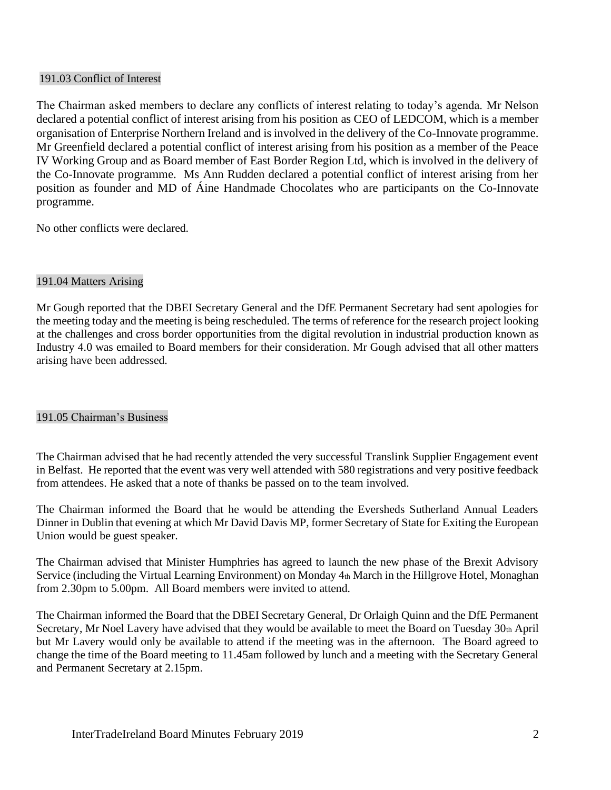## 191.03 Conflict of Interest

The Chairman asked members to declare any conflicts of interest relating to today's agenda. Mr Nelson declared a potential conflict of interest arising from his position as CEO of LEDCOM, which is a member organisation of Enterprise Northern Ireland and is involved in the delivery of the Co-Innovate programme. Mr Greenfield declared a potential conflict of interest arising from his position as a member of the Peace IV Working Group and as Board member of East Border Region Ltd, which is involved in the delivery of the Co-Innovate programme. Ms Ann Rudden declared a potential conflict of interest arising from her position as founder and MD of Áine Handmade Chocolates who are participants on the Co-Innovate programme.

No other conflicts were declared.

## 191.04 Matters Arising

Mr Gough reported that the DBEI Secretary General and the DfE Permanent Secretary had sent apologies for the meeting today and the meeting is being rescheduled. The terms of reference for the research project looking at the challenges and cross border opportunities from the digital revolution in industrial production known as Industry 4.0 was emailed to Board members for their consideration. Mr Gough advised that all other matters arising have been addressed.

# 191.05 Chairman's Business

The Chairman advised that he had recently attended the very successful Translink Supplier Engagement event in Belfast. He reported that the event was very well attended with 580 registrations and very positive feedback from attendees. He asked that a note of thanks be passed on to the team involved.

The Chairman informed the Board that he would be attending the Eversheds Sutherland Annual Leaders Dinner in Dublin that evening at which Mr David Davis MP, former Secretary of State for Exiting the European Union would be guest speaker.

The Chairman advised that Minister Humphries has agreed to launch the new phase of the Brexit Advisory Service (including the Virtual Learning Environment) on Monday 4th March in the Hillgrove Hotel, Monaghan from 2.30pm to 5.00pm. All Board members were invited to attend.

The Chairman informed the Board that the DBEI Secretary General, Dr Orlaigh Quinn and the DfE Permanent Secretary, Mr Noel Lavery have advised that they would be available to meet the Board on Tuesday 30th April but Mr Lavery would only be available to attend if the meeting was in the afternoon. The Board agreed to change the time of the Board meeting to 11.45am followed by lunch and a meeting with the Secretary General and Permanent Secretary at 2.15pm.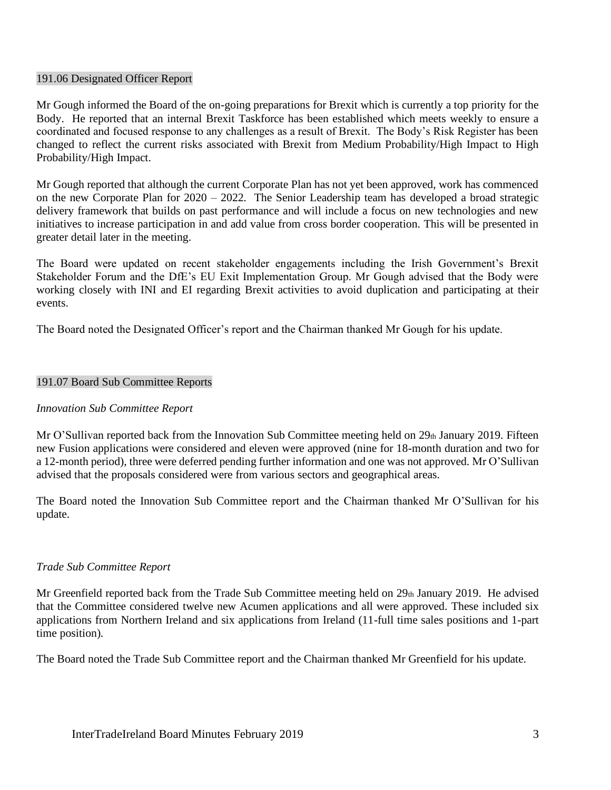#### 191.06 Designated Officer Report

Mr Gough informed the Board of the on-going preparations for Brexit which is currently a top priority for the Body. He reported that an internal Brexit Taskforce has been established which meets weekly to ensure a coordinated and focused response to any challenges as a result of Brexit. The Body's Risk Register has been changed to reflect the current risks associated with Brexit from Medium Probability/High Impact to High Probability/High Impact.

Mr Gough reported that although the current Corporate Plan has not yet been approved, work has commenced on the new Corporate Plan for 2020 – 2022. The Senior Leadership team has developed a broad strategic delivery framework that builds on past performance and will include a focus on new technologies and new initiatives to increase participation in and add value from cross border cooperation. This will be presented in greater detail later in the meeting.

The Board were updated on recent stakeholder engagements including the Irish Government's Brexit Stakeholder Forum and the DfE's EU Exit Implementation Group. Mr Gough advised that the Body were working closely with INI and EI regarding Brexit activities to avoid duplication and participating at their events.

The Board noted the Designated Officer's report and the Chairman thanked Mr Gough for his update.

# 191.07 Board Sub Committee Reports

# *Innovation Sub Committee Report*

Mr O'Sullivan reported back from the Innovation Sub Committee meeting held on  $29<sub>th</sub>$  January 2019. Fifteen new Fusion applications were considered and eleven were approved (nine for 18-month duration and two for a 12-month period), three were deferred pending further information and one was not approved. Mr O'Sullivan advised that the proposals considered were from various sectors and geographical areas.

The Board noted the Innovation Sub Committee report and the Chairman thanked Mr O'Sullivan for his update.

# *Trade Sub Committee Report*

Mr Greenfield reported back from the Trade Sub Committee meeting held on 29th January 2019. He advised that the Committee considered twelve new Acumen applications and all were approved. These included six applications from Northern Ireland and six applications from Ireland (11-full time sales positions and 1-part time position).

The Board noted the Trade Sub Committee report and the Chairman thanked Mr Greenfield for his update.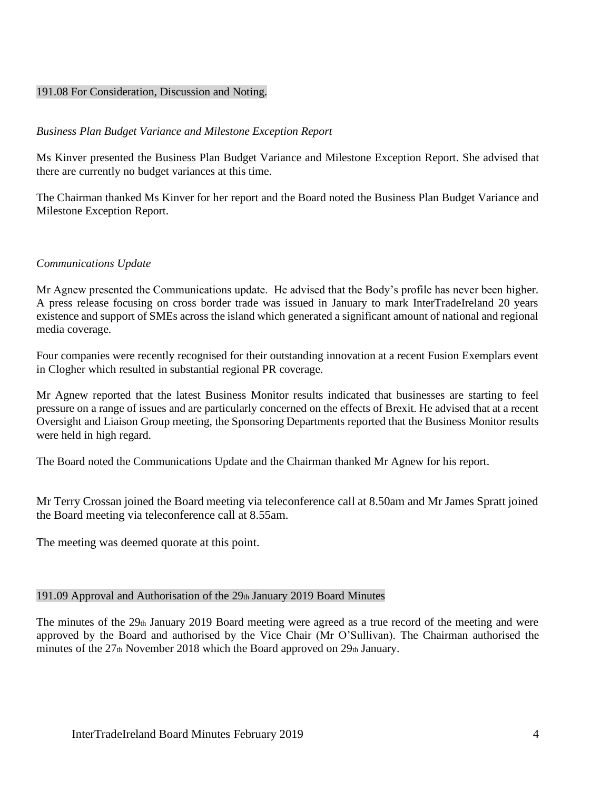## 191.08 For Consideration, Discussion and Noting.

## *Business Plan Budget Variance and Milestone Exception Report*

Ms Kinver presented the Business Plan Budget Variance and Milestone Exception Report. She advised that there are currently no budget variances at this time.

The Chairman thanked Ms Kinver for her report and the Board noted the Business Plan Budget Variance and Milestone Exception Report.

#### *Communications Update*

Mr Agnew presented the Communications update. He advised that the Body's profile has never been higher. A press release focusing on cross border trade was issued in January to mark InterTradeIreland 20 years existence and support of SMEs across the island which generated a significant amount of national and regional media coverage.

Four companies were recently recognised for their outstanding innovation at a recent Fusion Exemplars event in Clogher which resulted in substantial regional PR coverage.

Mr Agnew reported that the latest Business Monitor results indicated that businesses are starting to feel pressure on a range of issues and are particularly concerned on the effects of Brexit. He advised that at a recent Oversight and Liaison Group meeting, the Sponsoring Departments reported that the Business Monitor results were held in high regard.

The Board noted the Communications Update and the Chairman thanked Mr Agnew for his report.

Mr Terry Crossan joined the Board meeting via teleconference call at 8.50am and Mr James Spratt joined the Board meeting via teleconference call at 8.55am.

The meeting was deemed quorate at this point.

#### 191.09 Approval and Authorisation of the 29th January 2019 Board Minutes

The minutes of the 29th January 2019 Board meeting were agreed as a true record of the meeting and were approved by the Board and authorised by the Vice Chair (Mr O'Sullivan). The Chairman authorised the minutes of the  $27<sub>th</sub>$  November 2018 which the Board approved on  $29<sub>th</sub>$  January.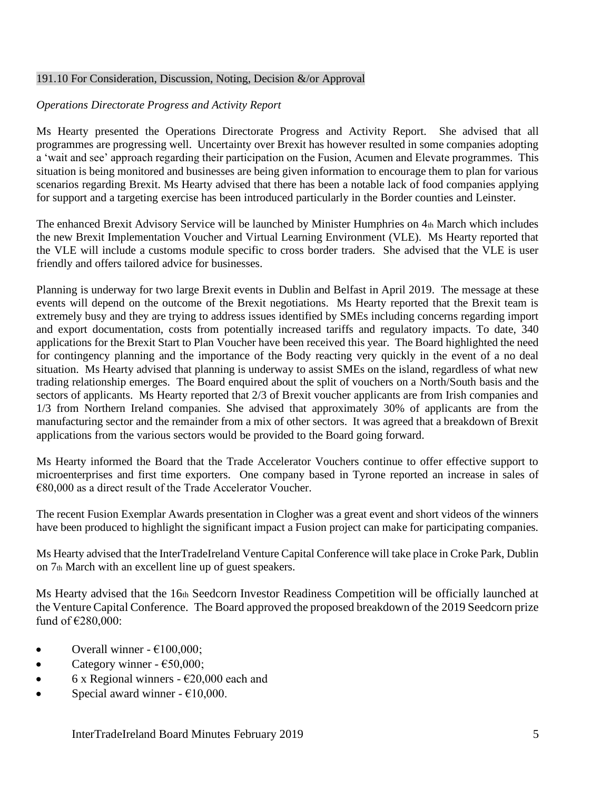#### 191.10 For Consideration, Discussion, Noting, Decision &/or Approval

## *Operations Directorate Progress and Activity Report*

Ms Hearty presented the Operations Directorate Progress and Activity Report. She advised that all programmes are progressing well. Uncertainty over Brexit has however resulted in some companies adopting a 'wait and see' approach regarding their participation on the Fusion, Acumen and Elevate programmes. This situation is being monitored and businesses are being given information to encourage them to plan for various scenarios regarding Brexit. Ms Hearty advised that there has been a notable lack of food companies applying for support and a targeting exercise has been introduced particularly in the Border counties and Leinster.

The enhanced Brexit Advisory Service will be launched by Minister Humphries on 4th March which includes the new Brexit Implementation Voucher and Virtual Learning Environment (VLE). Ms Hearty reported that the VLE will include a customs module specific to cross border traders. She advised that the VLE is user friendly and offers tailored advice for businesses.

Planning is underway for two large Brexit events in Dublin and Belfast in April 2019. The message at these events will depend on the outcome of the Brexit negotiations. Ms Hearty reported that the Brexit team is extremely busy and they are trying to address issues identified by SMEs including concerns regarding import and export documentation, costs from potentially increased tariffs and regulatory impacts. To date, 340 applications for the Brexit Start to Plan Voucher have been received this year. The Board highlighted the need for contingency planning and the importance of the Body reacting very quickly in the event of a no deal situation. Ms Hearty advised that planning is underway to assist SMEs on the island, regardless of what new trading relationship emerges. The Board enquired about the split of vouchers on a North/South basis and the sectors of applicants. Ms Hearty reported that 2/3 of Brexit voucher applicants are from Irish companies and 1/3 from Northern Ireland companies. She advised that approximately 30% of applicants are from the manufacturing sector and the remainder from a mix of other sectors. It was agreed that a breakdown of Brexit applications from the various sectors would be provided to the Board going forward.

Ms Hearty informed the Board that the Trade Accelerator Vouchers continue to offer effective support to microenterprises and first time exporters. One company based in Tyrone reported an increase in sales of €80,000 as a direct result of the Trade Accelerator Voucher.

The recent Fusion Exemplar Awards presentation in Clogher was a great event and short videos of the winners have been produced to highlight the significant impact a Fusion project can make for participating companies.

Ms Hearty advised that the InterTradeIreland Venture Capital Conference will take place in Croke Park, Dublin on 7th March with an excellent line up of guest speakers.

Ms Hearty advised that the 16th Seedcorn Investor Readiness Competition will be officially launched at the Venture Capital Conference. The Board approved the proposed breakdown of the 2019 Seedcorn prize fund of €280,000:

- Overall winner  $\epsilon$ 100,000;
- Category winner  $\epsilon$ 50,000;
- 6 x Regional winners  $-620,000$  each and
- Special award winner  $\epsilon 10,000$ .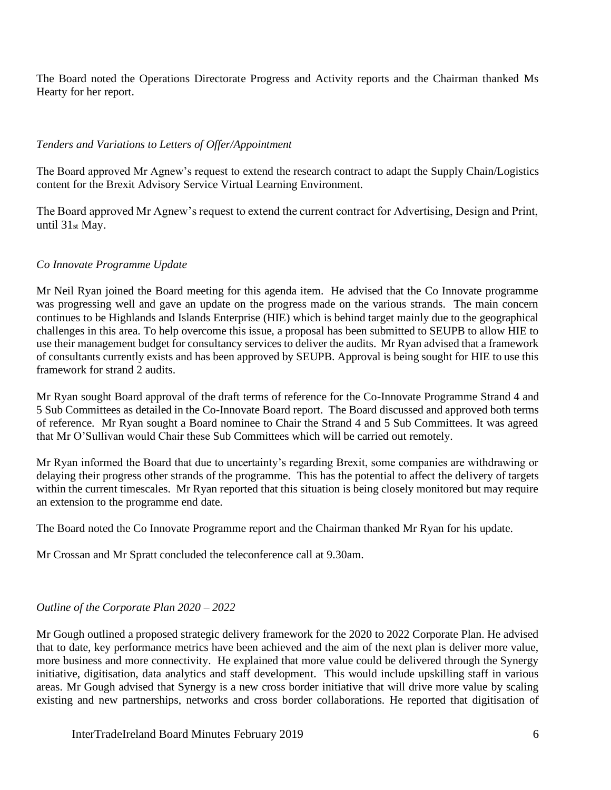The Board noted the Operations Directorate Progress and Activity reports and the Chairman thanked Ms Hearty for her report.

## *Tenders and Variations to Letters of Offer/Appointment*

The Board approved Mr Agnew's request to extend the research contract to adapt the Supply Chain/Logistics content for the Brexit Advisory Service Virtual Learning Environment.

The Board approved Mr Agnew's request to extend the current contract for Advertising, Design and Print, until 31st May.

## *Co Innovate Programme Update*

Mr Neil Ryan joined the Board meeting for this agenda item. He advised that the Co Innovate programme was progressing well and gave an update on the progress made on the various strands. The main concern continues to be Highlands and Islands Enterprise (HIE) which is behind target mainly due to the geographical challenges in this area. To help overcome this issue, a proposal has been submitted to SEUPB to allow HIE to use their management budget for consultancy services to deliver the audits. Mr Ryan advised that a framework of consultants currently exists and has been approved by SEUPB. Approval is being sought for HIE to use this framework for strand 2 audits.

Mr Ryan sought Board approval of the draft terms of reference for the Co-Innovate Programme Strand 4 and 5 Sub Committees as detailed in the Co-Innovate Board report. The Board discussed and approved both terms of reference. Mr Ryan sought a Board nominee to Chair the Strand 4 and 5 Sub Committees. It was agreed that Mr O'Sullivan would Chair these Sub Committees which will be carried out remotely.

Mr Ryan informed the Board that due to uncertainty's regarding Brexit, some companies are withdrawing or delaying their progress other strands of the programme. This has the potential to affect the delivery of targets within the current timescales. Mr Ryan reported that this situation is being closely monitored but may require an extension to the programme end date.

The Board noted the Co Innovate Programme report and the Chairman thanked Mr Ryan for his update.

Mr Crossan and Mr Spratt concluded the teleconference call at 9.30am.

# *Outline of the Corporate Plan 2020 – 2022*

Mr Gough outlined a proposed strategic delivery framework for the 2020 to 2022 Corporate Plan. He advised that to date, key performance metrics have been achieved and the aim of the next plan is deliver more value, more business and more connectivity. He explained that more value could be delivered through the Synergy initiative, digitisation, data analytics and staff development. This would include upskilling staff in various areas. Mr Gough advised that Synergy is a new cross border initiative that will drive more value by scaling existing and new partnerships, networks and cross border collaborations. He reported that digitisation of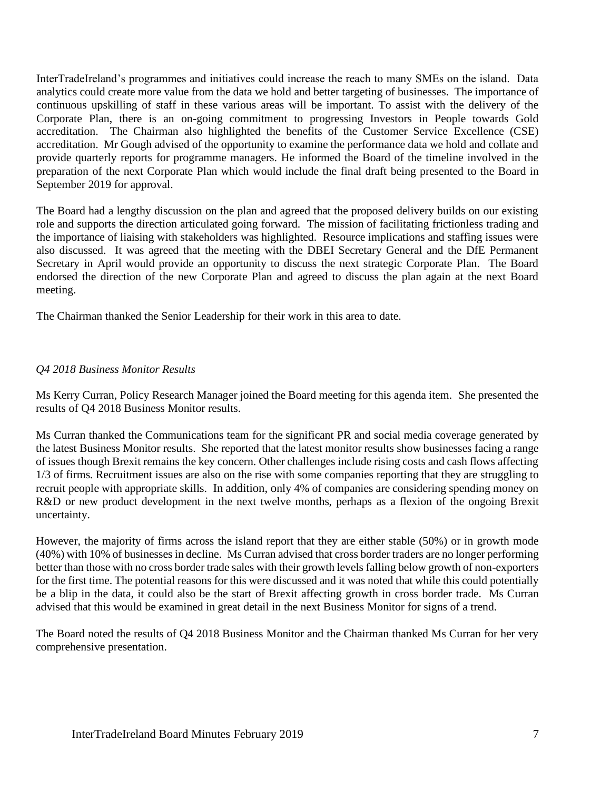InterTradeIreland's programmes and initiatives could increase the reach to many SMEs on the island. Data analytics could create more value from the data we hold and better targeting of businesses. The importance of continuous upskilling of staff in these various areas will be important. To assist with the delivery of the Corporate Plan, there is an on-going commitment to progressing Investors in People towards Gold accreditation. The Chairman also highlighted the benefits of the Customer Service Excellence (CSE) accreditation. Mr Gough advised of the opportunity to examine the performance data we hold and collate and provide quarterly reports for programme managers. He informed the Board of the timeline involved in the preparation of the next Corporate Plan which would include the final draft being presented to the Board in September 2019 for approval.

The Board had a lengthy discussion on the plan and agreed that the proposed delivery builds on our existing role and supports the direction articulated going forward. The mission of facilitating frictionless trading and the importance of liaising with stakeholders was highlighted. Resource implications and staffing issues were also discussed. It was agreed that the meeting with the DBEI Secretary General and the DfE Permanent Secretary in April would provide an opportunity to discuss the next strategic Corporate Plan. The Board endorsed the direction of the new Corporate Plan and agreed to discuss the plan again at the next Board meeting.

The Chairman thanked the Senior Leadership for their work in this area to date.

## *Q4 2018 Business Monitor Results*

Ms Kerry Curran, Policy Research Manager joined the Board meeting for this agenda item. She presented the results of Q4 2018 Business Monitor results.

Ms Curran thanked the Communications team for the significant PR and social media coverage generated by the latest Business Monitor results. She reported that the latest monitor results show businesses facing a range of issues though Brexit remains the key concern. Other challenges include rising costs and cash flows affecting 1/3 of firms. Recruitment issues are also on the rise with some companies reporting that they are struggling to recruit people with appropriate skills. In addition, only 4% of companies are considering spending money on R&D or new product development in the next twelve months, perhaps as a flexion of the ongoing Brexit uncertainty.

However, the majority of firms across the island report that they are either stable (50%) or in growth mode (40%) with 10% of businesses in decline. Ms Curran advised that cross border traders are no longer performing better than those with no cross border trade sales with their growth levels falling below growth of non-exporters for the first time. The potential reasons for this were discussed and it was noted that while this could potentially be a blip in the data, it could also be the start of Brexit affecting growth in cross border trade. Ms Curran advised that this would be examined in great detail in the next Business Monitor for signs of a trend.

The Board noted the results of Q4 2018 Business Monitor and the Chairman thanked Ms Curran for her very comprehensive presentation.